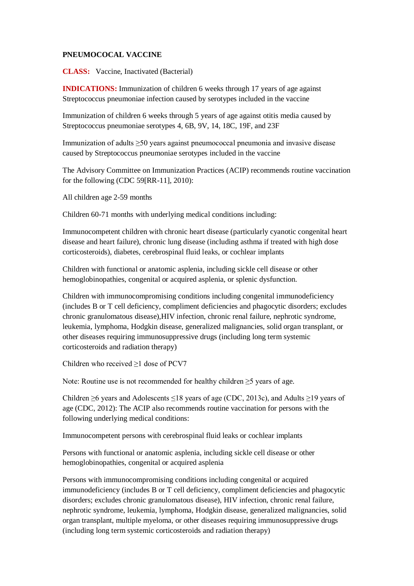### **PNEUMOCOCAL VACCINE**

**CLASS:** Vaccine, Inactivated (Bacterial)

**INDICATIONS:** Immunization of children 6 weeks through 17 years of age against Streptococcus pneumoniae infection caused by serotypes included in the vaccine

Immunization of children 6 weeks through 5 years of age against otitis media caused by Streptococcus pneumoniae serotypes 4, 6B, 9V, 14, 18C, 19F, and 23F

Immunization of adults ≥50 years against pneumococcal pneumonia and invasive disease caused by Streptococcus pneumoniae serotypes included in the vaccine

The Advisory Committee on Immunization Practices (ACIP) recommends routine vaccination for the following (CDC 59[RR-11], 2010):

All children age 2-59 months

Children 60-71 months with underlying medical conditions including:

Immunocompetent children with chronic heart disease (particularly cyanotic congenital heart disease and heart failure), chronic lung disease (including asthma if treated with high dose corticosteroids), diabetes, cerebrospinal fluid leaks, or cochlear implants

Children with functional or anatomic asplenia, including sickle cell disease or other hemoglobinopathies, congenital or acquired asplenia, or splenic dysfunction.

Children with immunocompromising conditions including congenital immunodeficiency (includes B or T cell deficiency, compliment deficiencies and phagocytic disorders; excludes chronic granulomatous disease),HIV infection, chronic renal failure, nephrotic syndrome, leukemia, lymphoma, Hodgkin disease, generalized malignancies, solid organ transplant, or other diseases requiring immunosuppressive drugs (including long term systemic corticosteroids and radiation therapy)

Children who received ≥1 dose of PCV7

Note: Routine use is not recommended for healthy children ≥5 years of age.

Children  $\geq$ 6 years and Adolescents  $\leq$ 18 years of age (CDC, 2013c), and Adults  $\geq$ 19 years of age (CDC, 2012): The ACIP also recommends routine vaccination for persons with the following underlying medical conditions:

Immunocompetent persons with cerebrospinal fluid leaks or cochlear implants

Persons with functional or anatomic asplenia, including sickle cell disease or other hemoglobinopathies, congenital or acquired asplenia

Persons with immunocompromising conditions including congenital or acquired immunodeficiency (includes B or T cell deficiency, compliment deficiencies and phagocytic disorders; excludes chronic granulomatous disease), HIV infection, chronic renal failure, nephrotic syndrome, leukemia, lymphoma, Hodgkin disease, generalized malignancies, solid organ transplant, multiple myeloma, or other diseases requiring immunosuppressive drugs (including long term systemic corticosteroids and radiation therapy)